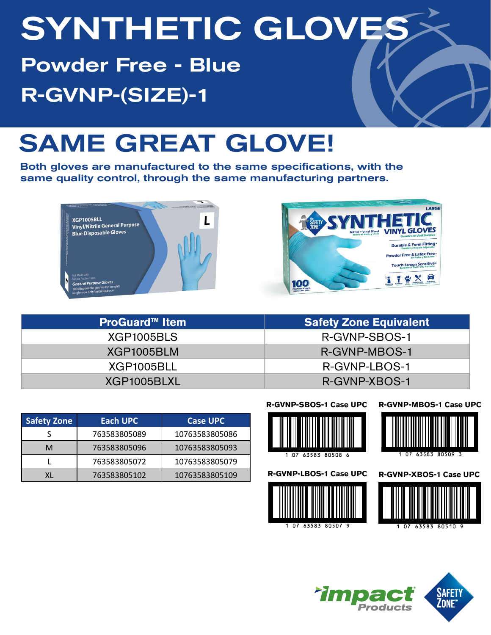# SYNTHETIC GLOVES

Powder Free - Blue R-GVNP-(SIZE)-1

## SAME GREAT GLOVE!

Both gloves are manufactured to the same specifications, with the same quality control, through the same manufacturing partners.





| <b>ProGuard™ Item</b> | <b>Safety Zone Equivalent</b> |
|-----------------------|-------------------------------|
| XGP1005BLS            | R-GVNP-SBOS-1                 |
| XGP1005BLM            | R-GVNP-MBOS-1                 |
| XGP1005BLL            | R-GVNP-LBOS-1                 |
| XGP1005BLXL           | R-GVNP-XBOS-1                 |

| <b>Safety Zone</b> | Each UPC     | <b>Case UPC</b> |
|--------------------|--------------|-----------------|
|                    | 763583805089 | 10763583805086  |
| м                  | 763583805096 | 10763583805093  |
|                    | 763583805072 | 10763583805079  |
|                    | 763583805102 | 10763583805109  |



#### **R-GVNP-MBOS-1 Case UPC**



63583 80508 6

**R-GVNP-LBOS-1 Case UPC**







**R-GVNP-XBOS-1 Case UPC**

63583 80509